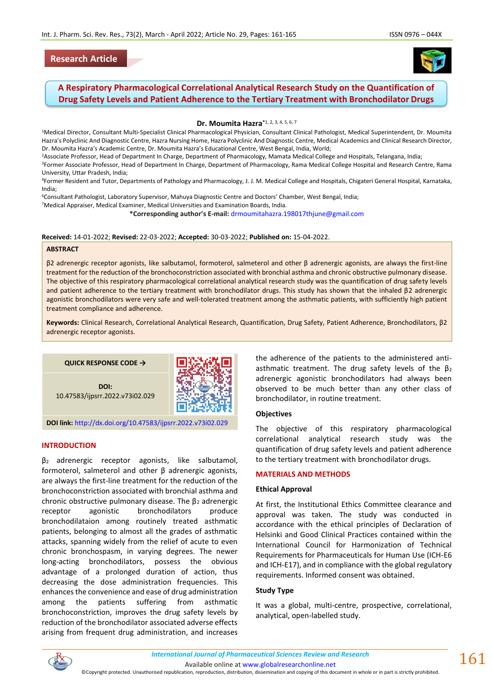# **Research Article**



# **A Respiratory Pharmacological Correlational Analytical Research Study on the Quantification of Drug Safety Levels and Patient Adherence to the Tertiary Treatment with Bronchodilator Drugs**

**Dr. Moumita Hazra\***1, 2, 3, 4, 5, 6, 7

<sup>1</sup>Medical Director, Consultant Multi-Specialist Clinical Pharmacological Physician, Consultant Clinical Pathologist, Medical Superintendent, Dr. Moumita Hazra's Polyclinic And Diagnostic Centre, Hazra Nursing Home, Hazra Polyclinic And Diagnostic Centre, Medical Academics and Clinical Research Director, Dr. Moumita Hazra's Academic Centre, Dr. Moumita Hazra's Educational Centre, West Bengal, India, World;

<sup>2</sup>Associate Professor, Head of Department In Charge, Department of Pharmacology, Mamata Medical College and Hospitals, Telangana, India;

<sup>3</sup>Former Associate Professor, Head of Department In Charge, Department of Pharmacology, Rama Medical College Hospital and Research Centre, Rama University, Uttar Pradesh, India;

<sup>4</sup>Former Resident and Tutor, Departments of Pathology and Pharmacology, J. J. M. Medical College and Hospitals, Chigateri General Hospital, Karnataka, India;

<sup>6</sup>Consultant Pathologist, Laboratory Supervisor, Mahuya Diagnostic Centre and Doctors' Chamber, West Bengal, India;

<sup>7</sup>Medical Appraiser, Medical Examiner, Medical Universities and Examination Boards, India.

**\*Corresponding author's E-mail:** [drmoumitahazra.198017thjune@gmail.com](mailto:drmoumitahazra.198017thjune@gmail.com)

#### **Received:** 14-01-2022; **Revised:** 22-03-2022; **Accepted:** 30-03-2022; **Published on:** 15-04-2022.

#### **ABSTRACT**

β2 adrenergic receptor agonists, like salbutamol, formoterol, salmeterol and other β adrenergic agonists, are always the first-line treatment for the reduction of the bronchoconstriction associated with bronchial asthma and chronic obstructive pulmonary disease. The objective of this respiratory pharmacological correlational analytical research study was the quantification of drug safety levels and patient adherence to the tertiary treatment with bronchodilator drugs. This study has shown that the inhaled β2 adrenergic agonistic bronchodilators were very safe and well-tolerated treatment among the asthmatic patients, with sufficiently high patient treatment compliance and adherence.

**Keywords:** Clinical Research, Correlational Analytical Research, Quantification, Drug Safety, Patient Adherence, Bronchodilators, β2 adrenergic receptor agonists.

**QUICK RESPONSE CODE →**



**DOI:** 10.47583/ijpsrr.2022.v73i02.029

**DOI link:** <http://dx.doi.org/10.47583/ijpsrr.2022.v73i02.029>

### **INTRODUCTION**

β2 adrenergic receptor agonists, like salbutamol, formoterol, salmeterol and other β adrenergic agonists, are always the first-line treatment for the reduction of the bronchoconstriction associated with bronchial asthma and chronic obstructive pulmonary disease. The  $\beta_2$  adrenergic receptor agonistic bronchodilators produce bronchodilataion among routinely treated asthmatic patients, belonging to almost all the grades of asthmatic attacks, spanning widely from the relief of acute to even chronic bronchospasm, in varying degrees. The newer long-acting bronchodilators, possess the obvious advantage of a prolonged duration of action, thus decreasing the dose administration frequencies. This enhances the convenience and ease of drug administration among the patients suffering from asthmatic bronchoconstriction, improves the drug safety levels by reduction of the bronchodilator associated adverse effects arising from frequent drug administration, and increases the adherence of the patients to the administered antiasthmatic treatment. The drug safety levels of the  $\beta_2$ adrenergic agonistic bronchodilators had always been observed to be much better than any other class of bronchodilator, in routine treatment.

# **Objectives**

The objective of this respiratory pharmacological correlational analytical research study was the quantification of drug safety levels and patient adherence to the tertiary treatment with bronchodilator drugs.

### **MATERIALS AND METHODS**

### **Ethical Approval**

At first, the Institutional Ethics Committee clearance and approval was taken. The study was conducted in accordance with the ethical principles of Declaration of Helsinki and Good Clinical Practices contained within the International Council for Harmonization of Technical Requirements for Pharmaceuticals for Human Use (ICH-E6 and ICH-E17), and in compliance with the global regulatory requirements. Informed consent was obtained.

# **Study Type**

It was a global, multi-centre, prospective, correlational, analytical, open-labelled study.



*International Journal of Pharmaceutical Sciences Review and Research International Journal of Pharmaceutical Sciences Review and Research*

 $161$ 

Available online a[t www.globalresearchonline.net](http://www.globalresearchonline.net/) ©Copyright protected. Unauthorised republication, reproduction, distribution, dissemination and copying of this document in whole or in part is strictly prohibited.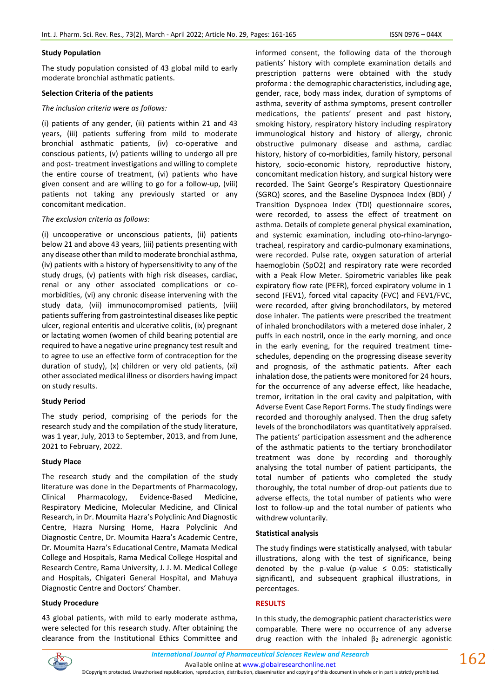### **Study Population**

The study population consisted of 43 global mild to early moderate bronchial asthmatic patients.

### **Selection Criteria of the patients**

### *The inclusion criteria were as follows:*

(i) patients of any gender, (ii) patients within 21 and 43 years, (iii) patients suffering from mild to moderate bronchial asthmatic patients, (iv) co-operative and conscious patients, (v) patients willing to undergo all pre and post- treatment investigations and willing to complete the entire course of treatment, (vi) patients who have given consent and are willing to go for a follow-up, (viii) patients not taking any previously started or any concomitant medication.

# *The exclusion criteria as follows:*

(i) uncooperative or unconscious patients, (ii) patients below 21 and above 43 years, (iii) patients presenting with any disease other than mild to moderate bronchial asthma, (iv) patients with a history of hypersensitivity to any of the study drugs, (v) patients with high risk diseases, cardiac, renal or any other associated complications or comorbidities, (vi) any chronic disease intervening with the study data, (vii) immunocompromised patients, (viii) patients suffering from gastrointestinal diseases like peptic ulcer, regional enteritis and ulcerative colitis, (ix) pregnant or lactating women (women of child bearing potential are required to have a negative urine pregnancy test result and to agree to use an effective form of contraception for the duration of study), (x) children or very old patients, (xi) other associated medical illness or disorders having impact on study results.

### **Study Period**

The study period, comprising of the periods for the research study and the compilation of the study literature, was 1 year, July, 2013 to September, 2013, and from June, 2021 to February, 2022.

### **Study Place**

The research study and the compilation of the study literature was done in the Departments of Pharmacology, Clinical Pharmacology, Evidence-Based Medicine, Respiratory Medicine, Molecular Medicine, and Clinical Research, in Dr. Moumita Hazra's Polyclinic And Diagnostic Centre, Hazra Nursing Home, Hazra Polyclinic And Diagnostic Centre, Dr. Moumita Hazra's Academic Centre, Dr. Moumita Hazra's Educational Centre, Mamata Medical College and Hospitals, Rama Medical College Hospital and Research Centre, Rama University, J. J. M. Medical College and Hospitals, Chigateri General Hospital, and Mahuya Diagnostic Centre and Doctors' Chamber.

# **Study Procedure**

43 global patients, with mild to early moderate asthma, were selected for this research study. After obtaining the clearance from the Institutional Ethics Committee and informed consent, the following data of the thorough patients' history with complete examination details and prescription patterns were obtained with the study proforma : the demographic characteristics, including age, gender, race, body mass index, duration of symptoms of asthma, severity of asthma symptoms, present controller medications, the patients' present and past history, smoking history, respiratory history including respiratory immunological history and history of allergy, chronic obstructive pulmonary disease and asthma, cardiac history, history of co-morbidities, family history, personal history, socio-economic history, reproductive history, concomitant medication history, and surgical history were recorded. The Saint George's Respiratory Questionnaire (SGRQ) scores, and the Baseline Dyspnoea Index (BDI) / Transition Dyspnoea Index (TDI) questionnaire scores, were recorded, to assess the effect of treatment on asthma. Details of complete general physical examination, and systemic examination, including oto-rhino-laryngotracheal, respiratory and cardio-pulmonary examinations, were recorded. Pulse rate, oxygen saturation of arterial haemoglobin (SpO2) and respiratory rate were recorded with a Peak Flow Meter. Spirometric variables like peak expiratory flow rate (PEFR), forced expiratory volume in 1 second (FEV1), forced vital capacity (FVC) and FEV1/FVC, were recorded, after giving bronchodilators, by metered dose inhaler. The patients were prescribed the treatment of inhaled bronchodilators with a metered dose inhaler, 2 puffs in each nostril, once in the early morning, and once in the early evening, for the required treatment timeschedules, depending on the progressing disease severity and prognosis, of the asthmatic patients. After each inhalation dose, the patients were monitored for 24 hours, for the occurrence of any adverse effect, like headache, tremor, irritation in the oral cavity and palpitation, with Adverse Event Case Report Forms. The study findings were recorded and thoroughly analysed. Then the drug safety levels of the bronchodilators was quantitatively appraised. The patients' participation assessment and the adherence of the asthmatic patients to the tertiary bronchodilator treatment was done by recording and thoroughly analysing the total number of patient participants, the total number of patients who completed the study thoroughly, the total number of drop-out patients due to adverse effects, the total number of patients who were lost to follow-up and the total number of patients who withdrew voluntarily.

### **Statistical analysis**

The study findings were statistically analysed, with tabular illustrations, along with the test of significance, being denoted by the p-value (p-value  $\leq$  0.05: statistically significant), and subsequent graphical illustrations, in percentages.

### **RESULTS**

In this study, the demographic patient characteristics were comparable. There were no occurrence of any adverse drug reaction with the inhaled  $β_2$  adrenergic agonistic

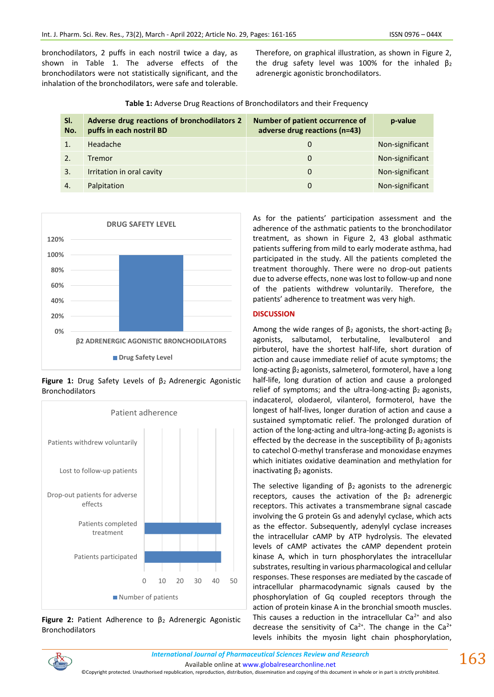bronchodilators, 2 puffs in each nostril twice a day, as shown in Table 1. The adverse effects of the bronchodilators were not statistically significant, and the inhalation of the bronchodilators, were safe and tolerable. Therefore, on graphical illustration, as shown in Figure 2, the drug safety level was 100% for the inhaled  $\beta_2$ adrenergic agonistic bronchodilators.

| Table 1: Adverse Drug Reactions of Bronchodilators and their Frequency |  |  |
|------------------------------------------------------------------------|--|--|
|------------------------------------------------------------------------|--|--|

| SI.<br>No. | Adverse drug reactions of bronchodilators 2<br>puffs in each nostril BD | Number of patient occurrence of<br>adverse drug reactions (n=43) | p-value         |
|------------|-------------------------------------------------------------------------|------------------------------------------------------------------|-----------------|
|            | Headache                                                                | O                                                                | Non-significant |
|            | Tremor                                                                  | 0                                                                | Non-significant |
| 3.         | Irritation in oral cavity                                               | 0                                                                | Non-significant |
| 4.         | Palpitation                                                             | 0                                                                | Non-significant |



**Figure 1:** Drug Safety Levels of β2 Adrenergic Agonistic Bronchodilators



**Figure 2:** Patient Adherence to β<sup>2</sup> Adrenergic Agonistic Bronchodilators

As for the patients' participation assessment and the adherence of the asthmatic patients to the bronchodilator treatment, as shown in Figure 2, 43 global asthmatic patients suffering from mild to early moderate asthma, had participated in the study. All the patients completed the treatment thoroughly. There were no drop-out patients due to adverse effects, none was lost to follow-up and none of the patients withdrew voluntarily. Therefore, the patients' adherence to treatment was very high.

# **DISCUSSION**

Among the wide ranges of  $\beta_2$  agonists, the short-acting  $\beta_2$ agonists, salbutamol, terbutaline, levalbuterol and pirbuterol, have the shortest half-life, short duration of action and cause immediate relief of acute symptoms; the long-acting β2 agonists, salmeterol, formoterol, have a long half-life, long duration of action and cause a prolonged relief of symptoms; and the ultra-long-acting  $β_2$  agonists, indacaterol, olodaerol, vilanterol, formoterol, have the longest of half-lives, longer duration of action and cause a sustained symptomatic relief. The prolonged duration of action of the long-acting and ultra-long-acting  $\beta_2$  agonists is effected by the decrease in the susceptibility of  $\beta_2$  agonists to catechol O-methyl transferase and monoxidase enzymes which initiates oxidative deamination and methylation for inactivating  $β<sub>2</sub>$  agonists.

The selective liganding of  $\beta_2$  agonists to the adrenergic receptors, causes the activation of the  $β<sub>2</sub>$  adrenergic receptors. This activates a transmembrane signal cascade involving the G protein Gs and adenylyl cyclase, which acts as the effector. Subsequently, adenylyl cyclase increases the intracellular cAMP by ATP hydrolysis. The elevated levels of cAMP activates the cAMP dependent protein kinase A, which in turn phosphorylates the intracellular substrates, resulting in various pharmacological and cellular responses. These responses are mediated by the cascade of intracellular pharmacodynamic signals caused by the phosphorylation of Gq coupled receptors through the action of protein kinase A in the bronchial smooth muscles. This causes a reduction in the intracellular  $Ca<sup>2+</sup>$  and also decrease the sensitivity of Ca<sup>2+</sup>. The change in the Ca<sup>2+</sup> levels inhibits the myosin light chain phosphorylation,

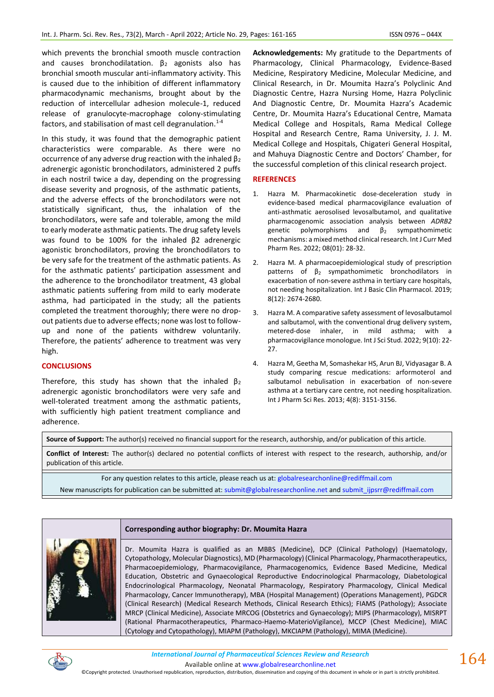which prevents the bronchial smooth muscle contraction and causes bronchodilatation.  $\beta_2$  agonists also has bronchial smooth muscular anti-inflammatory activity. This is caused due to the inhibition of different inflammatory pharmacodynamic mechanisms, brought about by the reduction of intercellular adhesion molecule-1, reduced release of granulocyte-macrophage colony-stimulating factors, and stabilisation of mast cell degranulation. $1-4$ 

In this study, it was found that the demographic patient characteristics were comparable. As there were no occurrence of any adverse drug reaction with the inhaled  $β<sub>2</sub>$ adrenergic agonistic bronchodilators, administered 2 puffs in each nostril twice a day, depending on the progressing disease severity and prognosis, of the asthmatic patients, and the adverse effects of the bronchodilators were not statistically significant, thus, the inhalation of the bronchodilators, were safe and tolerable, among the mild to early moderate asthmatic patients. The drug safety levels was found to be 100% for the inhaled β2 adrenergic agonistic bronchodilators, proving the bronchodilators to be very safe for the treatment of the asthmatic patients. As for the asthmatic patients' participation assessment and the adherence to the bronchodilator treatment, 43 global asthmatic patients suffering from mild to early moderate asthma, had participated in the study; all the patients completed the treatment thoroughly; there were no dropout patients due to adverse effects; none was lost to followup and none of the patients withdrew voluntarily. Therefore, the patients' adherence to treatment was very high.

### **CONCLUSIONS**

Therefore, this study has shown that the inhaled  $\beta_2$ adrenergic agonistic bronchodilators were very safe and well-tolerated treatment among the asthmatic patients, with sufficiently high patient treatment compliance and adherence.

**Acknowledgements:** My gratitude to the Departments of Pharmacology, Clinical Pharmacology, Evidence-Based Medicine, Respiratory Medicine, Molecular Medicine, and Clinical Research, in Dr. Moumita Hazra's Polyclinic And Diagnostic Centre, Hazra Nursing Home, Hazra Polyclinic And Diagnostic Centre, Dr. Moumita Hazra's Academic Centre, Dr. Moumita Hazra's Educational Centre, Mamata Medical College and Hospitals, Rama Medical College Hospital and Research Centre, Rama University, J. J. M. Medical College and Hospitals, Chigateri General Hospital, and Mahuya Diagnostic Centre and Doctors' Chamber, for the successful completion of this clinical research project.

### **REFERENCES**

- 1. Hazra M. Pharmacokinetic dose-deceleration study in evidence-based medical pharmacovigilance evaluation of anti-asthmatic aerosolised levosalbutamol, and qualitative pharmacogenomic association analysis between *ADRB2* genetic polymorphisms and  $\beta_2$  sympathomimetic mechanisms: a mixed method clinical research. Int J Curr Med Pharm Res. 2022; 08(01): 28-32.
- 2. Hazra M. A pharmacoepidemiological study of prescription patterns of  $β<sub>2</sub>$  sympathomimetic bronchodilators in exacerbation of non-severe asthma in tertiary care hospitals, not needing hospitalization. Int J Basic Clin Pharmacol. 2019; 8(12): 2674-2680.
- 3. Hazra M. A comparative safety assessment of levosalbutamol and salbutamol, with the conventional drug delivery system, metered-dose inhaler, in mild asthma; with a pharmacovigilance monologue. Int J Sci Stud. 2022; 9(10): 22- 27.
- 4. Hazra M, Geetha M, Somashekar HS, Arun BJ, Vidyasagar B. A study comparing rescue medications: arformoterol and salbutamol nebulisation in exacerbation of non-severe asthma at a tertiary care centre, not needing hospitalization. Int J Pharm Sci Res. 2013; 4(8): 3151-3156.

**Source of Support:** The author(s) received no financial support for the research, authorship, and/or publication of this article.

**Conflict of Interest:** The author(s) declared no potential conflicts of interest with respect to the research, authorship, and/or publication of this article.

For any question relates to this article, please reach us at: [globalresearchonline@](mailto:editor@globalresearchonline.net)rediffmail.com

New manuscripts for publication can be submitted at: [submit@globalresearchonline.net](mailto:submit@globalresearchonline.net) and [submit\\_ijpsrr@rediffmail.com](mailto:submit_ijpsrr@rediffmail.com)

## **Corresponding author biography: Dr. Moumita Hazra**



Dr. Moumita Hazra is qualified as an MBBS (Medicine), DCP (Clinical Pathology) (Haematology, Cytopathology, Molecular Diagnostics), MD (Pharmacology) (Clinical Pharmacology, Pharmacotherapeutics, Pharmacoepidemiology, Pharmacovigilance, Pharmacogenomics, Evidence Based Medicine, Medical Education, Obstetric and Gynaecological Reproductive Endocrinological Pharmacology, Diabetological Endocrinological Pharmacology, Neonatal Pharmacology, Respiratory Pharmacology, Clinical Medical Pharmacology, Cancer Immunotherapy), MBA (Hospital Management) (Operations Management), PGDCR (Clinical Research) (Medical Research Methods, Clinical Research Ethics); FIAMS (Pathology); Associate MRCP (Clinical Medicine), Associate MRCOG (Obstetrics and Gynaecology); MIPS (Pharmacology), MISRPT (Rational Pharmacotherapeutics, Pharmaco-Haemo-MaterioVigilance), MCCP (Chest Medicine), MIAC (Cytology and Cytopathology), MIAPM (Pathology), MKCIAPM (Pathology), MIMA (Medicine).



*International Journal of Pharmaceutical Sciences Review and Research International Journal of Pharmaceutical Sciences Review and Research*

Available online a[t www.globalresearchonline.net](http://www.globalresearchonline.net/)